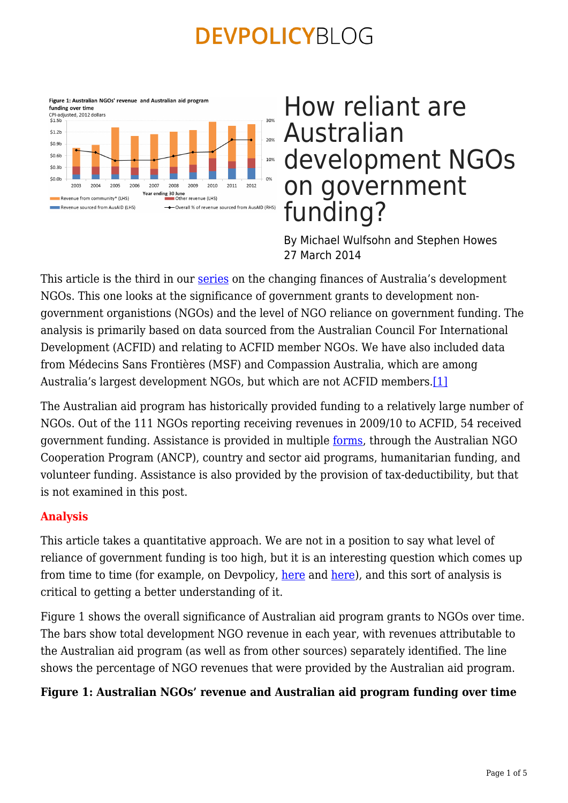

# How reliant are Australian development NGOs on government funding?

By Michael Wulfsohn and Stephen Howes 27 March 2014

This article is the third in our [series](https://devpolicy.org/tag/australian-development-ngos/) on the changing finances of Australia's development NGOs. This one looks at the significance of government grants to development nongovernment organistions (NGOs) and the level of NGO reliance on government funding. The analysis is primarily based on data sourced from the Australian Council For International Development (ACFID) and relating to ACFID member NGOs. We have also included data from Médecins Sans Frontières (MSF) and Compassion Australia, which are among Australia's largest development NGOs, but which are not ACFID members.[\[1\]](file:///C:/Users/u4797116/AppData/Local/Microsoft/Windows/Temporary%20Internet%20Files/Content.Outlook/NO3ML0W4/How%20reliant%20are%20Australian%20development%20NGOs%20on%20government%20funding.docx#_ftn1)

The Australian aid program has historically provided funding to a relatively large number of NGOs. Out of the 111 NGOs reporting receiving revenues in 2009/10 to ACFID, 54 received government funding. Assistance is provided in multiple [forms](http://aid.dfat.gov.au/ngos/Documents/civil-society-engagement-framework.pdf), through the Australian NGO Cooperation Program (ANCP), country and sector aid programs, humanitarian funding, and volunteer funding. Assistance is also provided by the provision of tax-deductibility, but that is not examined in this post.

### **Analysis**

This article takes a quantitative approach. We are not in a position to say what level of reliance of government funding is too high, but it is an interesting question which comes up from time to time (for example, on Devpolicy, [here](https://devpolicy.org/ngo-dependency-not-the-real-issue-a-response-to-joanne-spratt-20121012/) and here), and this sort of analysis is critical to getting a better understanding of it.

Figure 1 shows the overall significance of Australian aid program grants to NGOs over time. The bars show total development NGO revenue in each year, with revenues attributable to the Australian aid program (as well as from other sources) separately identified. The line shows the percentage of NGO revenues that were provided by the Australian aid program.

### **Figure 1: Australian NGOs' revenue and Australian aid program funding over time**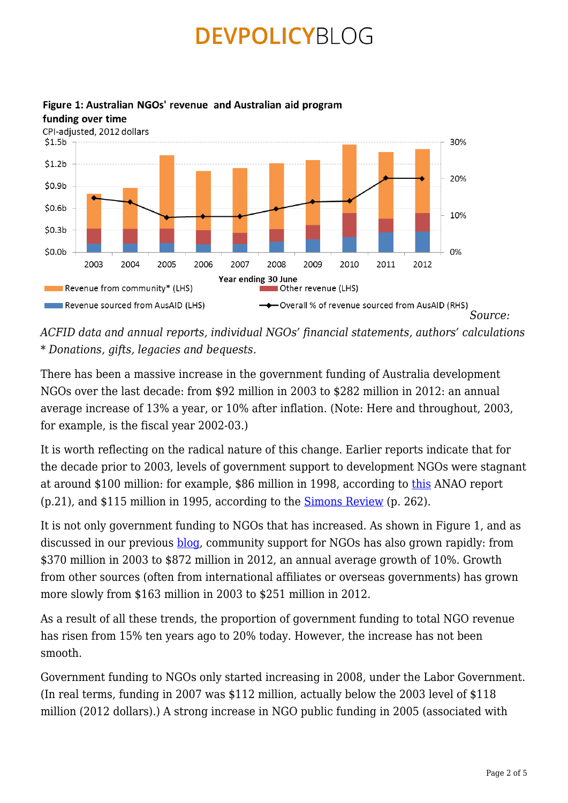

#### Figure 1: Australian NGOs' revenue and Australian aid program funding over time

*ACFID data and annual reports, individual NGOs' financial statements, authors' calculations \* Donations, gifts, legacies and bequests.*

There has been a massive increase in the government funding of Australia development NGOs over the last decade: from \$92 million in 2003 to \$282 million in 2012: an annual average increase of 13% a year, or 10% after inflation. (Note: Here and throughout, 2003, for example, is the fiscal year 2002-03.)

It is worth reflecting on the radical nature of this change. Earlier reports indicate that for the decade prior to 2003, levels of government support to development NGOs were stagnant at around \$100 million: for example, \$86 million in 1998, according to [this](http://www.anao.gov.au/~/media/Uploads/Documents/1998%2099_audit_report_18.pdf) ANAO report (p.21), and \$115 million in 1995, according to the [Simons Review](http://aid.dfat.gov.au/Publications/Documents/simons.pdf) (p. 262).

It is not only government funding to NGOs that has increased. As shown in Figure 1, and as discussed in our previous **[blog](https://devpolicy.org/the-other-scale-up-australian-public-donations-for-development-over-the-last-decade-20130829/)**, community support for NGOs has also grown rapidly: from \$370 million in 2003 to \$872 million in 2012, an annual average growth of 10%. Growth from other sources (often from international affiliates or overseas governments) has grown more slowly from \$163 million in 2003 to \$251 million in 2012.

As a result of all these trends, the proportion of government funding to total NGO revenue has risen from 15% ten years ago to 20% today. However, the increase has not been smooth.

Government funding to NGOs only started increasing in 2008, under the Labor Government. (In real terms, funding in 2007 was \$112 million, actually below the 2003 level of \$118 million (2012 dollars).) A strong increase in NGO public funding in 2005 (associated with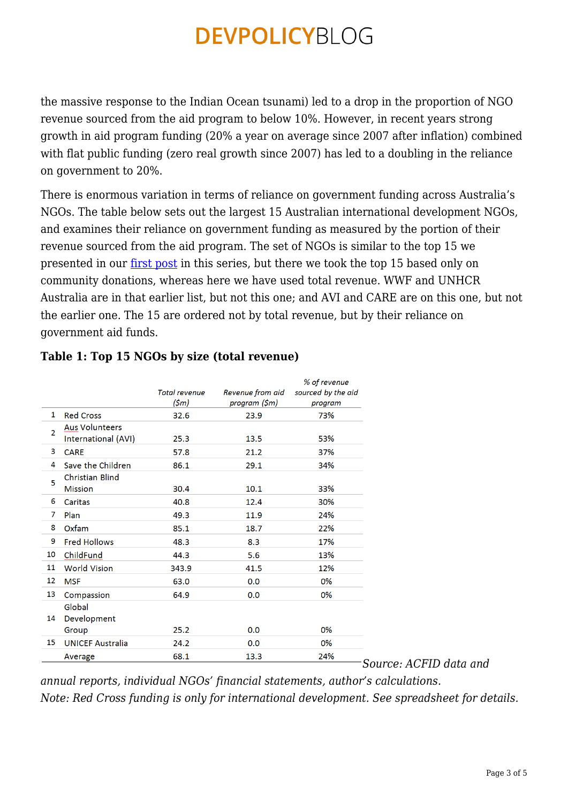the massive response to the Indian Ocean tsunami) led to a drop in the proportion of NGO revenue sourced from the aid program to below 10%. However, in recent years strong growth in aid program funding (20% a year on average since 2007 after inflation) combined with flat public funding (zero real growth since 2007) has led to a doubling in the reliance on government to 20%.

There is enormous variation in terms of reliance on government funding across Australia's NGOs. The table below sets out the largest 15 Australian international development NGOs, and examines their reliance on government funding as measured by the portion of their revenue sourced from the aid program. The set of NGOs is similar to the top 15 we presented in our <u>[first post](https://devpolicy.org/the-other-scale-up-australian-public-donations-for-development-over-the-last-decade-20130829/)</u> in this series, but there we took the top 15 based only on community donations, whereas here we have used total revenue. WWF and UNHCR Australia are in that earlier list, but not this one; and AVI and CARE are on this one, but not the earlier one. The 15 are ordered not by total revenue, but by their reliance on government aid funds.

|                |                                              | <b>Total revenue</b><br>(\$m) | Revenue from aid<br>program (\$m) | % of revenue<br>sourced by the aid<br>program |
|----------------|----------------------------------------------|-------------------------------|-----------------------------------|-----------------------------------------------|
| 1              | <b>Red Cross</b>                             | 32.6                          | 23.9                              | 73%                                           |
| $\overline{2}$ | <b>Aus Volunteers</b><br>International (AVI) | 25.3                          | 13.5                              | 53%                                           |
| 3              | <b>CARE</b>                                  | 57.8                          | 21.2                              | 37%                                           |
| 4              | Save the Children                            | 86.1                          | 29.1                              | 34%                                           |
| 5              | <b>Christian Blind</b><br><b>Mission</b>     | 30.4                          | 10.1                              | 33%                                           |
| 6              | Caritas                                      | 40.8                          | 12.4                              | 30%                                           |
| 7              | Plan                                         | 49.3                          | 11.9                              | 24%                                           |
| 8              | Oxfam                                        | 85.1                          | 18.7                              | 22%                                           |
| 9              | <b>Fred Hollows</b>                          | 48.3                          | 8.3                               | 17%                                           |
| 10             | ChildFund                                    | 44.3                          | 5.6                               | 13%                                           |
| 11             | <b>World Vision</b>                          | 343.9                         | 41.5                              | 12%                                           |
| 12             | <b>MSF</b>                                   | 63.0                          | 0.0                               | 0%                                            |
| 13             | Compassion                                   | 64.9                          | 0.0                               | 0%                                            |
| 14             | Global<br>Development                        |                               |                                   |                                               |
|                | Group                                        | 25.2                          | 0.0                               | 0%                                            |
| 15             | <b>UNICEF Australia</b>                      | 24.2                          | 0.0                               | 0%                                            |
|                | Average                                      | 68.1                          | 13.3                              | 24%                                           |

## **Table 1: Top 15 NGOs by size (total revenue)**

*Source: ACFID data and*

*annual reports, individual NGOs' financial statements, author's calculations. Note: Red Cross funding is only for international development. See spreadsheet for details.*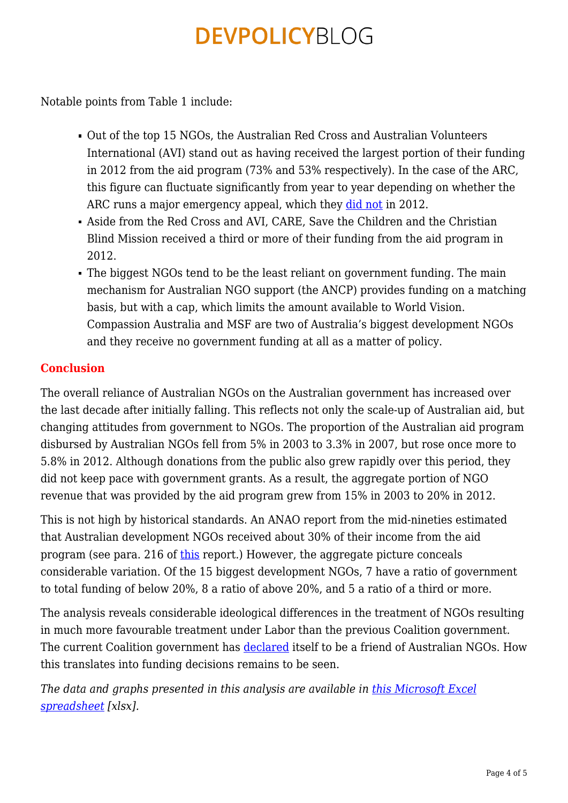Notable points from Table 1 include:

- Out of the top 15 NGOs, the Australian Red Cross and Australian Volunteers International (AVI) stand out as having received the largest portion of their funding in 2012 from the aid program (73% and 53% respectively). In the case of the ARC, this figure can fluctuate significantly from year to year depending on whether the ARC runs a major emergency appeal, which they [did not](http://www.acfid.asn.au/about-acfid/corporate-documents/annual-report-2013) in 2012.
- Aside from the Red Cross and AVI, CARE, Save the Children and the Christian Blind Mission received a third or more of their funding from the aid program in 2012.
- The biggest NGOs tend to be the least reliant on government funding. The main mechanism for Australian NGO support (the ANCP) provides funding on a matching basis, but with a cap, which limits the amount available to World Vision. Compassion Australia and MSF are two of Australia's biggest development NGOs and they receive no government funding at all as a matter of policy.

### **Conclusion**

The overall reliance of Australian NGOs on the Australian government has increased over the last decade after initially falling. This reflects not only the scale-up of Australian aid, but changing attitudes from government to NGOs. The proportion of the Australian aid program disbursed by Australian NGOs fell from 5% in 2003 to 3.3% in 2007, but rose once more to 5.8% in 2012. Although donations from the public also grew rapidly over this period, they did not keep pace with government grants. As a result, the aggregate portion of NGO revenue that was provided by the aid program grew from 15% in 2003 to 20% in 2012.

This is not high by historical standards. An ANAO report from the mid-nineties estimated that Australian development NGOs received about 30% of their income from the aid program (see para. 216 of [this](http://www.anao.gov.au/Publications/Audit-Reports/1996-1997/Accounting-for-Aid---The-Management-of-Funding-to-Non-Government-Organisations) report.) However, the aggregate picture conceals considerable variation. Of the 15 biggest development NGOs, 7 have a ratio of government to total funding of below 20%, 8 a ratio of above 20%, and 5 a ratio of a third or more.

The analysis reveals considerable ideological differences in the treatment of NGOs resulting in much more favourable treatment under Labor than the previous Coalition government. The current Coalition government has [declared](https://devpolicy.org/in-brief/coalition-releases-policy-fragment-on-aid-20130905-2/) itself to be a friend of Australian NGOs. How this translates into funding decisions remains to be seen.

*The data and graphs presented in this analysis are available in [this Microsoft Excel](https://devpolicy.org/excel/Data-analysis-How-reliant-are-Australian-development-NGOs-on-government-funding.xlsx) [spreadsheet](https://devpolicy.org/excel/Data-analysis-How-reliant-are-Australian-development-NGOs-on-government-funding.xlsx) [xlsx].*